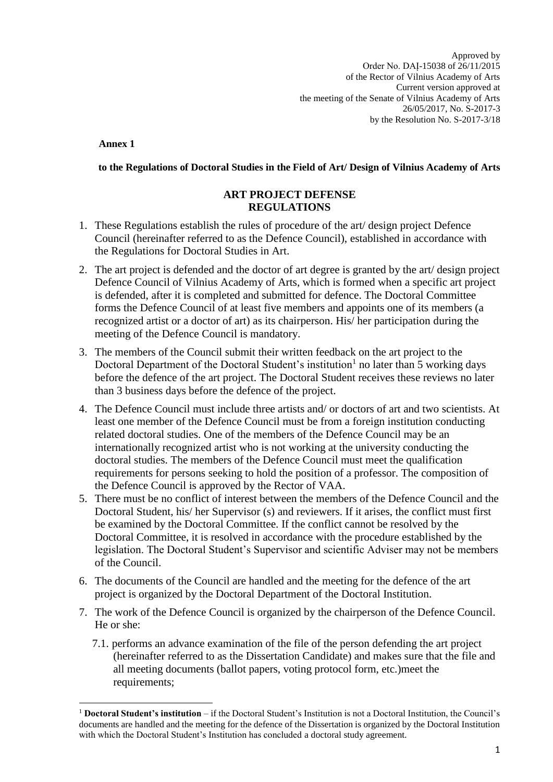Approved by Order No. DAĮ-15038 of 26/11/2015 of the Rector of Vilnius Academy of Arts Current version approved at the meeting of the Senate of Vilnius Academy of Arts 26/05/2017, No. S-2017-3 by the Resolution No. S-2017-3/18

**Annex 1**

**to the Regulations of Doctoral Studies in the Field of Art/ Design of Vilnius Academy of Arts**

## **ART PROJECT DEFENSE REGULATIONS**

- 1. These Regulations establish the rules of procedure of the art/ design project Defence Council (hereinafter referred to as the Defence Council), established in accordance with the Regulations for Doctoral Studies in Art.
- 2. The art project is defended and the doctor of art degree is granted by the art/ design project Defence Council of Vilnius Academy of Arts, which is formed when a specific art project is defended, after it is completed and submitted for defence. The Doctoral Committee forms the Defence Council of at least five members and appoints one of its members (a recognized artist or a doctor of art) as its chairperson. His/ her participation during the meeting of the Defence Council is mandatory.
- 3. The members of the Council submit their written feedback on the art project to the Doctoral Department of the Doctoral Student's institution<sup>1</sup> no later than 5 working days before the defence of the art project. The Doctoral Student receives these reviews no later than 3 business days before the defence of the project.
- 4. The Defence Council must include three artists and/ or doctors of art and two scientists. At least one member of the Defence Council must be from a foreign institution conducting related doctoral studies. One of the members of the Defence Council may be an internationally recognized artist who is not working at the university conducting the doctoral studies. The members of the Defence Council must meet the qualification requirements for persons seeking to hold the position of a professor. The composition of the Defence Council is approved by the Rector of VAA.
- 5. There must be no conflict of interest between the members of the Defence Council and the Doctoral Student, his/ her Supervisor (s) and reviewers. If it arises, the conflict must first be examined by the Doctoral Committee. If the conflict cannot be resolved by the Doctoral Committee, it is resolved in accordance with the procedure established by the legislation. The Doctoral Student's Supervisor and scientific Adviser may not be members of the Council.
- 6. The documents of the Council are handled and the meeting for the defence of the art project is organized by the Doctoral Department of the Doctoral Institution.
- 7. The work of the Defence Council is organized by the chairperson of the Defence Council. He or she:
	- 7.1. performs an advance examination of the file of the person defending the art project (hereinafter referred to as the Dissertation Candidate) and makes sure that the file and all meeting documents (ballot papers, voting protocol form, etc.)meet the requirements;

 $\overline{a}$ <sup>1</sup> **Doctoral Student's institution** – if the Doctoral Student's Institution is not a Doctoral Institution, the Council's documents are handled and the meeting for the defence of the Dissertation is organized by the Doctoral Institution with which the Doctoral Student's Institution has concluded a doctoral study agreement.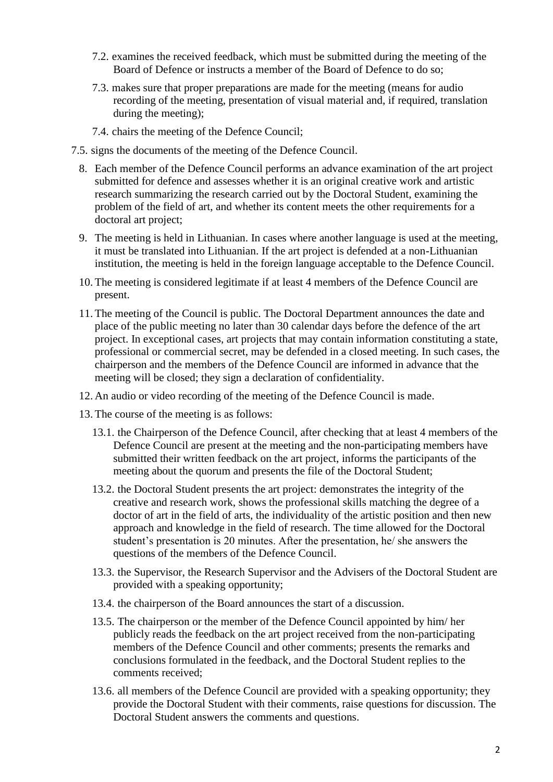- 7.2. examines the received feedback, which must be submitted during the meeting of the Board of Defence or instructs a member of the Board of Defence to do so;
- 7.3. makes sure that proper preparations are made for the meeting (means for audio recording of the meeting, presentation of visual material and, if required, translation during the meeting);
- 7.4. chairs the meeting of the Defence Council;
- 7.5. signs the documents of the meeting of the Defence Council.
	- 8. Each member of the Defence Council performs an advance examination of the art project submitted for defence and assesses whether it is an original creative work and artistic research summarizing the research carried out by the Doctoral Student, examining the problem of the field of art, and whether its content meets the other requirements for a doctoral art project;
	- 9. The meeting is held in Lithuanian. In cases where another language is used at the meeting, it must be translated into Lithuanian. If the art project is defended at a non-Lithuanian institution, the meeting is held in the foreign language acceptable to the Defence Council.
	- 10. The meeting is considered legitimate if at least 4 members of the Defence Council are present.
	- 11. The meeting of the Council is public. The Doctoral Department announces the date and place of the public meeting no later than 30 calendar days before the defence of the art project. In exceptional cases, art projects that may contain information constituting a state, professional or commercial secret, may be defended in a closed meeting. In such cases, the chairperson and the members of the Defence Council are informed in advance that the meeting will be closed; they sign a declaration of confidentiality.
	- 12. An audio or video recording of the meeting of the Defence Council is made.
	- 13. The course of the meeting is as follows:
		- 13.1. the Chairperson of the Defence Council, after checking that at least 4 members of the Defence Council are present at the meeting and the non-participating members have submitted their written feedback on the art project, informs the participants of the meeting about the quorum and presents the file of the Doctoral Student;
		- 13.2. the Doctoral Student presents the art project: demonstrates the integrity of the creative and research work, shows the professional skills matching the degree of a doctor of art in the field of arts, the individuality of the artistic position and then new approach and knowledge in the field of research. The time allowed for the Doctoral student's presentation is 20 minutes. After the presentation, he/ she answers the questions of the members of the Defence Council.
		- 13.3. the Supervisor, the Research Supervisor and the Advisers of the Doctoral Student are provided with a speaking opportunity;
		- 13.4. the chairperson of the Board announces the start of a discussion.
		- 13.5. The chairperson or the member of the Defence Council appointed by him/ her publicly reads the feedback on the art project received from the non-participating members of the Defence Council and other comments; presents the remarks and conclusions formulated in the feedback, and the Doctoral Student replies to the comments received;
		- 13.6. all members of the Defence Council are provided with a speaking opportunity; they provide the Doctoral Student with their comments, raise questions for discussion. The Doctoral Student answers the comments and questions.